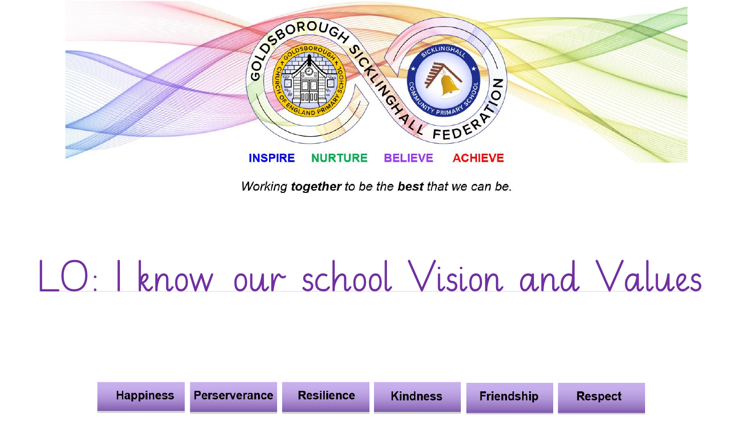

## LO: I know our school Vision and Values

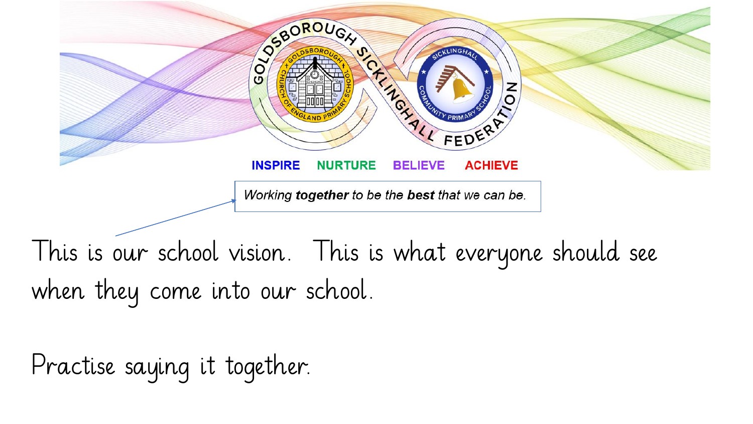

This is our school vision. This is what everyone should see when they come into our school.

Practise saying it together.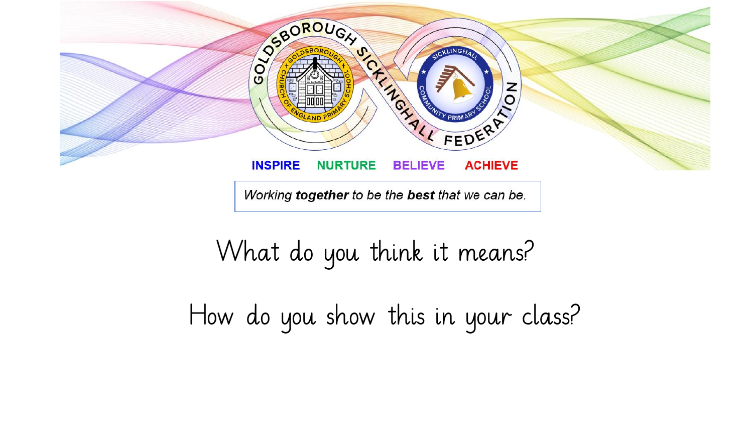

## What do you think it means?

How do you show this in your class?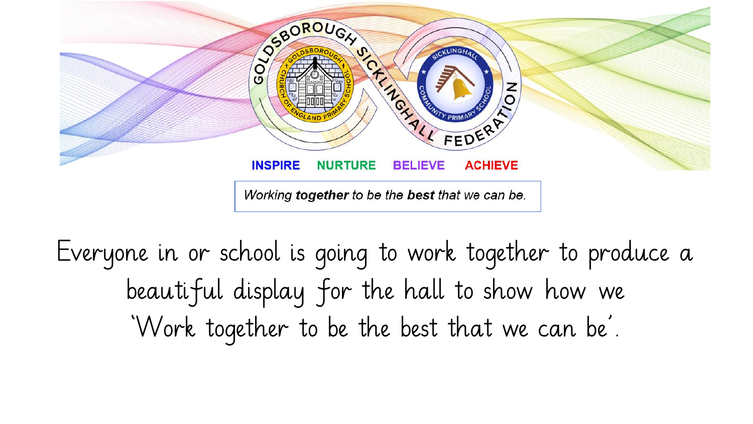

Everyone in or school is going to work together to produce a beautiful display for the hall to show how we 'Work together to be the best that we can be'.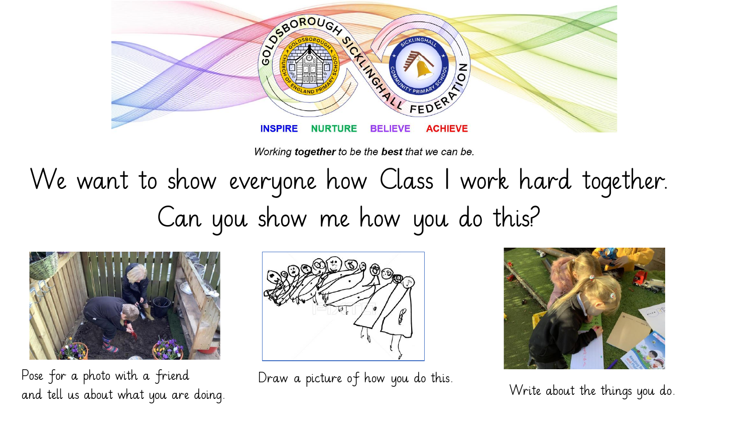

We want to show everyone how Class 1 work hard together. Can you show me how you do this?



Pose for a photo with a friend and tell us about what you are doing.



Draw a picture of how you do this.



Write about the things you do.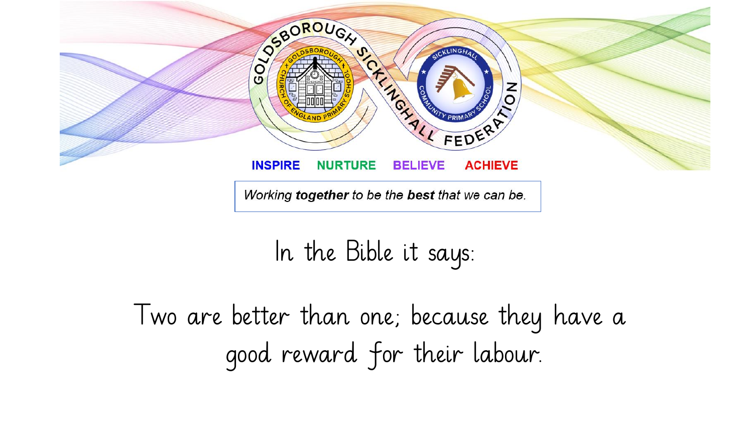

In the Bible it says:

Two are better than one; because they have a good reward for their labour.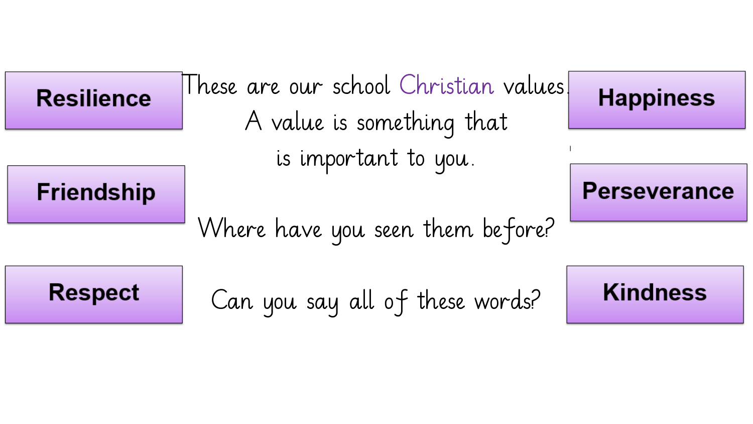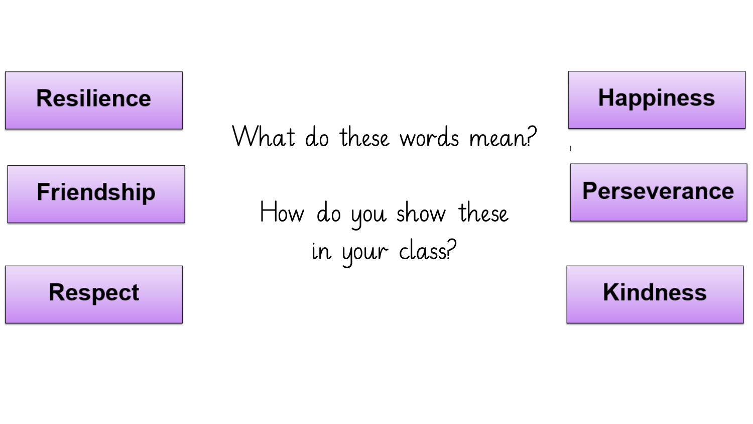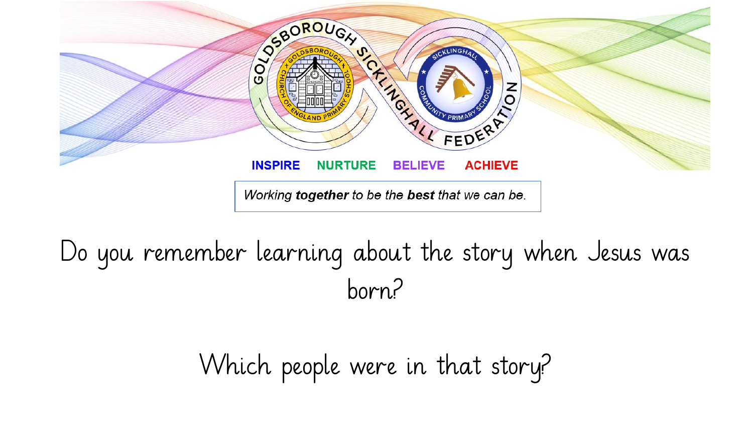

## Do you remember learning about the story when Jesus was born?

Which people were in that story?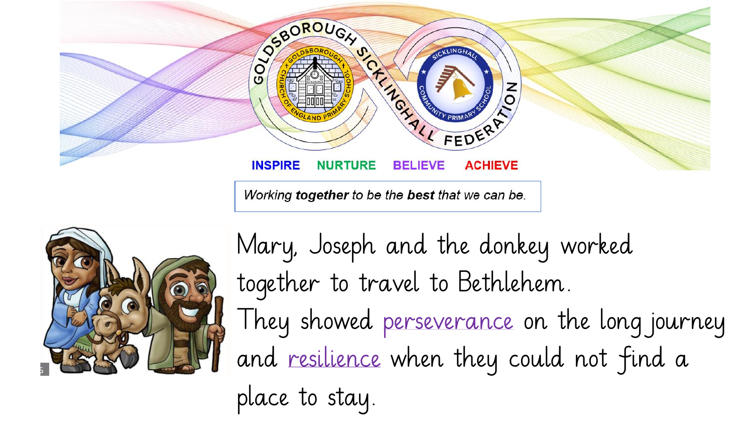



Mary, Joseph and the donkey worked together to travel to Bethlehem. They showed perseverance on the long journey and resilience when they could not find a place to stay.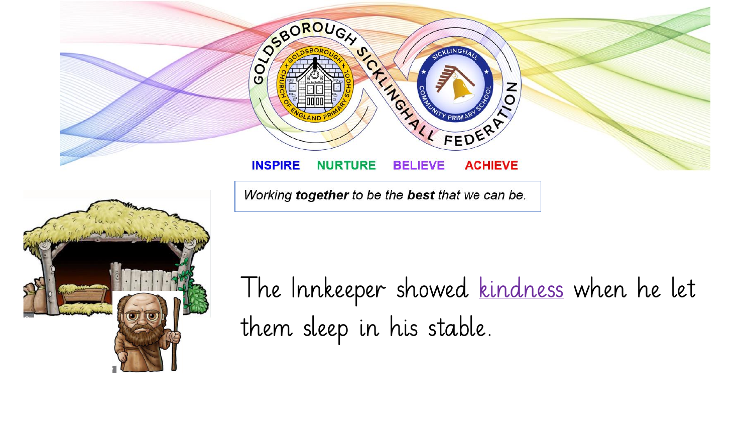



The Innkeeper showed kindness when he let them sleep in his stable.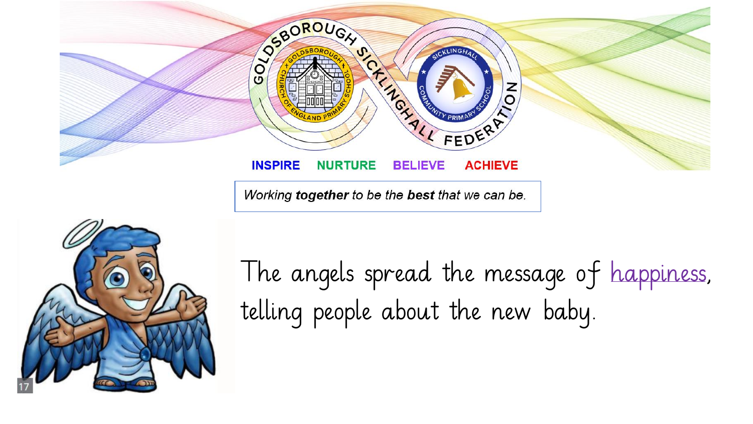



The angels spread the message of happiness, telling people about the new baby.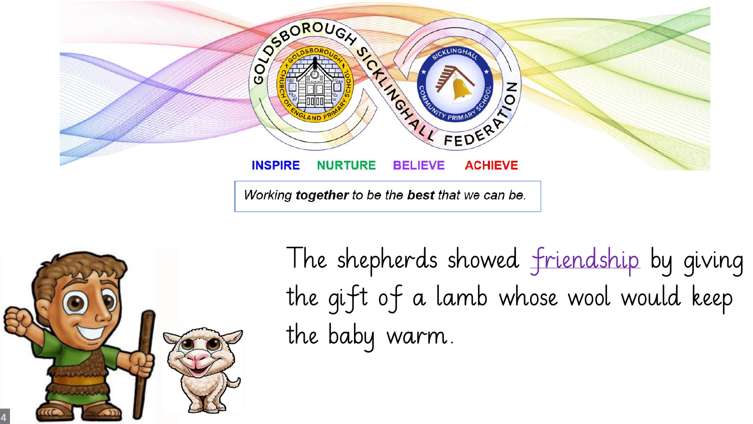



The shepherds showed friendship by giving the gift of a lamb whose wool would keep the baby warm.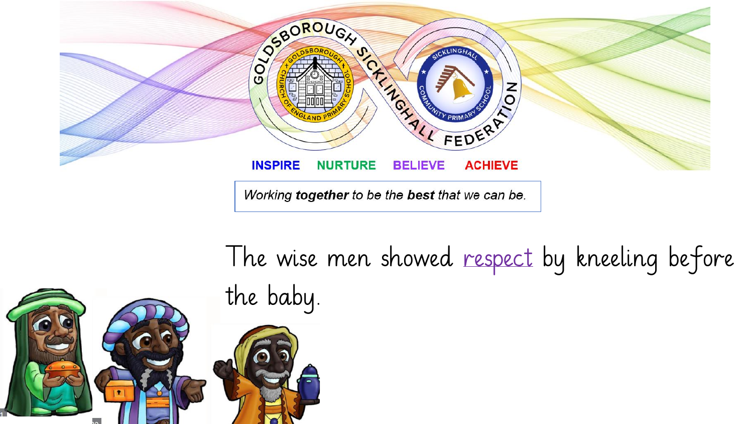

The wise men showed respect by kneeling before the baby.